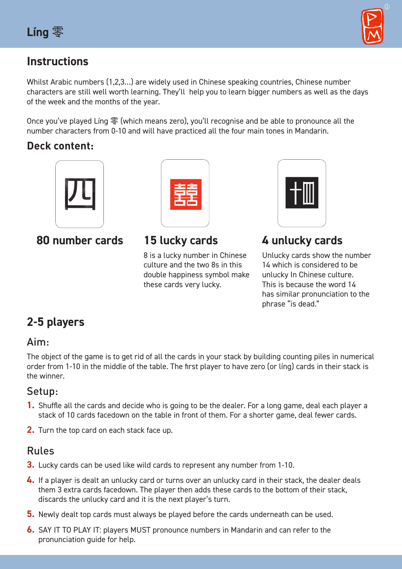

## **Instructions**

Whilst Arabic numbers (1,2,3…) are widely used in Chinese speaking countries, Chinese number characters are still well worth learning. They'll help you to learn bigger numbers as well as the days of the week and the months of the year.

Once you've played Líng 零 (which means zero), you'll recognise and be able to pronounce all the number characters from 0-10 and will have practiced all the four main tones in Mandarin.

## **Deck content:**





### **80 number cards 15 lucky cards 4 unlucky cards** 8 is a lucky number in Chinese culture and the two 8s in this double happiness symbol make these cards very lucky.



Unlucky cards show the number 14 which is considered to be unlucky In Chinese culture. This is because the word 14 has similar pronunciation to the phrase "is dead."

# **2-5 players**

## Aim:

The object of the game is to get rid of all the cards in your stack by building counting piles in numerical order from 1-10 in the middle of the table. The first player to have zero (or líng) cards in their stack is the winner.

## Setup:

- **1.** Shuffle all the cards and decide who is going to be the dealer. For a long game, deal each player a stack of 10 cards facedown on the table in front of them. For a shorter game, deal fewer cards.
- **2.** Turn the top card on each stack face up.

## Rules

- **3.** Lucky cards can be used like wild cards to represent any number from 1-10.
- **4.** If a player is dealt an unlucky card or turns over an unlucky card in their stack, the dealer deals them 3 extra cards facedown. The player then adds these cards to the bottom of their stack, discards the unlucky card and it is the next player's turn.
- **5.** Newly dealt top cards must always be played before the cards underneath can be used.
- **6.** SAY IT TO PLAY IT: players MUST pronounce numbers in Mandarin and can refer to the pronunciation guide for help.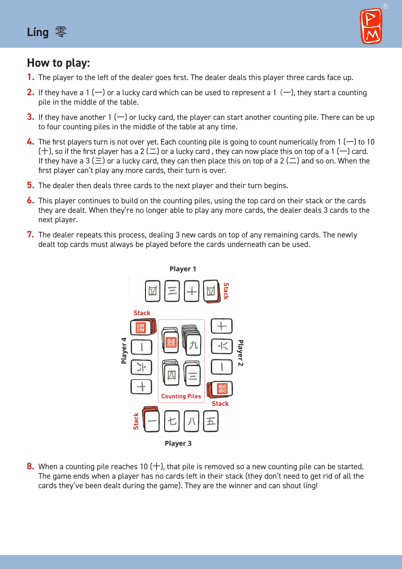



## **How to play:**

- **1.** The player to the left of the dealer goes first. The dealer deals this player three cards face up.
- **2.** If they have a 1 ( $-$ ) or a lucky card which can be used to represent a 1 ( $-$ ), they start a counting pile in the middle of the table.
- **3.** If they have another 1  $(-)$  or lucky card, the player can start another counting pile. There can be up to four counting piles in the middle of the table at any time.
- **4.** The first players turn is not over yet. Each counting pile is going to count numerically from 1 (一) to 10  $(+)$ , so if the first player has a 2  $(\square)$  or a lucky card, they can now place this on top of a 1  $(-)$  card. If they have a 3 ( $\Xi$ ) or a lucky card, they can then place this on top of a 2 ( $\Xi$ ) and so on. When the first player can't play any more cards, their turn is over.
- **5.** The dealer then deals three cards to the next player and their turn begins.
- **6.** This player continues to build on the counting piles, using the top card on their stack or the cards they are dealt. When they're no longer able to play any more cards, the dealer deals 3 cards to the next player.
- **7.** The dealer repeats this process, dealing 3 new cards on top of any remaining cards. The newly dealt top cards must always be played before the cards underneath can be used.



**8.** When a counting pile reaches 10 (十), that pile is removed so a new counting pile can be started. The game ends when a player has no cards left in their stack (they don't need to get rid of all the cards they've been dealt during the game). They are the winner and can shout líng!